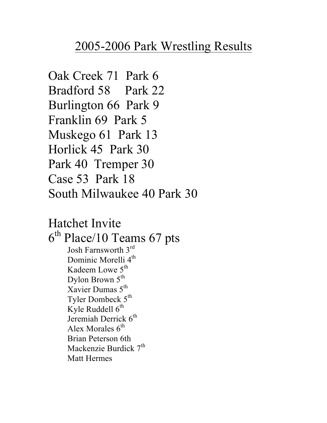## 2005-2006 Park Wrestling Results

Oak Creek 71 Park 6 Bradford 58 Park 22 Burlington 66 Park 9 Franklin 69 Park 5 Muskego 61 Park 13 Horlick 45 Park 30 Park 40 Tremper 30 Case 53 Park 18 South Milwaukee 40 Park 30

Hatchet Invite  $6<sup>th</sup>$  Place/10 Teams 67 pts Josh Farnsworth 3rd Dominic Morelli 4<sup>th</sup> Kadeem Lowe 5<sup>th</sup> Dylon Brown 5<sup>th</sup> Xavier Dumas  $5<sup>th</sup>$ Tyler Dombeck  $5^{th}$ Kyle Ruddell  $6<sup>th</sup>$ Jeremiah Derrick 6<sup>th</sup> Alex Morales  $6<sup>th</sup>$ Brian Peterson 6th Mackenzie Burdick  $7<sup>th</sup>$ Matt Hermes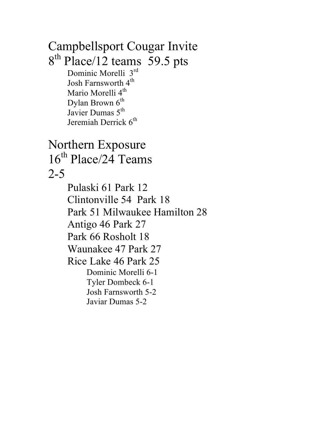Campbellsport Cougar Invite 8<sup>th</sup> Place/12 teams 59.5 pts Dominic Morelli 3rd Josh Farnsworth  $4<sup>th</sup>$ Mario Morelli 4<sup>th</sup> Dylan Brown  $6<sup>th</sup>$ Javier Dumas 5<sup>th</sup> Jeremiah Derrick 6<sup>th</sup> Northern Exposure 16<sup>th</sup> Place/24 Teams 2-5 Pulaski 61 Park 12 Clintonville 54 Park 18 Park 51 Milwaukee Hamilton 28 Antigo 46 Park 27 Park 66 Rosholt 18 Waunakee 47 Park 27 Rice Lake 46 Park 25 Dominic Morelli 6-1 Tyler Dombeck 6-1 Josh Farnsworth 5-2 Javiar Dumas 5-2